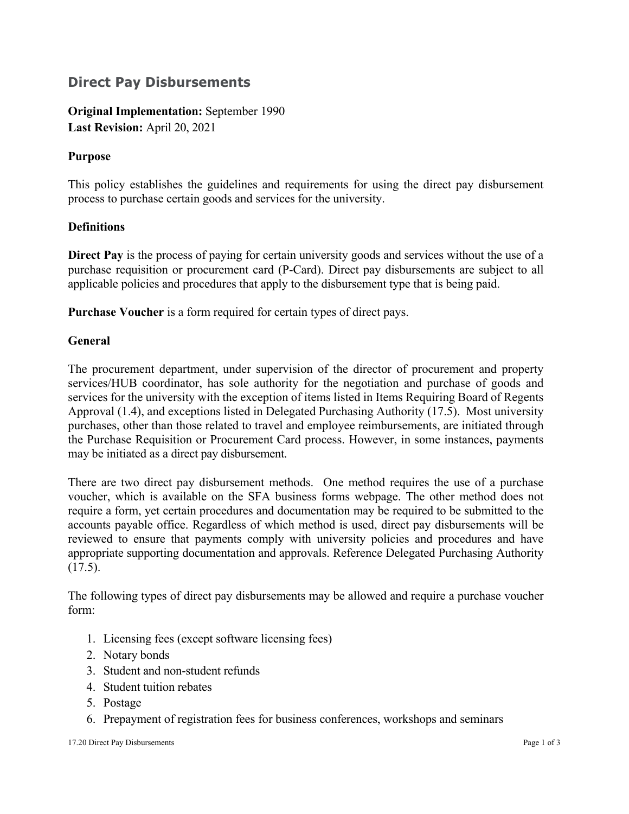## **Direct Pay Disbursements**

**Original Implementation:** September 1990 **Last Revision:** April 20, 2021

### **Purpose**

This policy establishes the guidelines and requirements for using the direct pay disbursement process to purchase certain goods and services for the university.

#### **Definitions**

**Direct Pay** is the process of paying for certain university goods and services without the use of a purchase requisition or procurement card (P-Card). Direct pay disbursements are subject to all applicable policies and procedures that apply to the disbursement type that is being paid.

**Purchase Voucher** is a form required for certain types of direct pays.

#### **General**

The procurement department, under supervision of the director of procurement and property services/HUB coordinator, has sole authority for the negotiation and purchase of goods and services for the university with the exception of items listed in Items Requiring Board of Regents Approval (1.4), and exceptions listed in Delegated Purchasing Authority (17.5). Most university purchases, other than those related to travel and employee reimbursements, are initiated through the Purchase Requisition or Procurement Card process. However, in some instances, payments may be initiated as a direct pay disbursement.

There are two direct pay disbursement methods. One method requires the use of a purchase voucher, which is available on the SFA business forms webpage. The other method does not require a form, yet certain procedures and documentation may be required to be submitted to the accounts payable office. Regardless of which method is used, direct pay disbursements will be reviewed to ensure that payments comply with university policies and procedures and have appropriate supporting documentation and approvals. Reference Delegated Purchasing Authority (17.5).

The following types of direct pay disbursements may be allowed and require a purchase voucher form:

- 1. Licensing fees (except software licensing fees)
- 2. Notary bonds
- 3. Student and non-student refunds
- 4. Student tuition rebates
- 5. Postage
- 6. Prepayment of registration fees for business conferences, workshops and seminars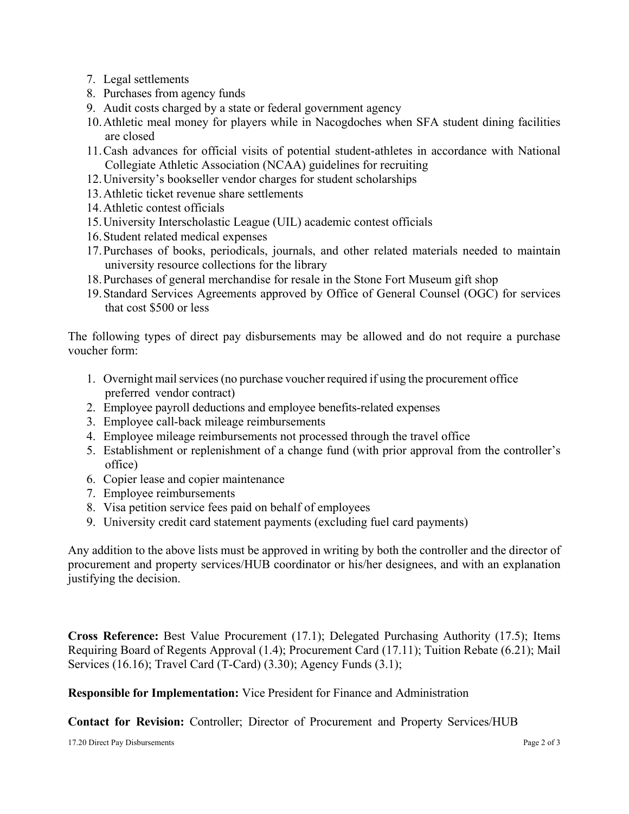- 7. Legal settlements
- 8. Purchases from agency funds
- 9. Audit costs charged by a state or federal government agency
- 10.Athletic meal money for players while in Nacogdoches when SFA student dining facilities are closed
- 11.Cash advances for official visits of potential student-athletes in accordance with National Collegiate Athletic Association (NCAA) guidelines for recruiting
- 12.University's bookseller vendor charges for student scholarships
- 13.Athletic ticket revenue share settlements
- 14.Athletic contest officials
- 15.University Interscholastic League (UIL) academic contest officials
- 16.Student related medical expenses
- 17.Purchases of books, periodicals, journals, and other related materials needed to maintain university resource collections for the library
- 18.Purchases of general merchandise for resale in the Stone Fort Museum gift shop
- 19.Standard Services Agreements approved by Office of General Counsel (OGC) for services that cost \$500 or less

The following types of direct pay disbursements may be allowed and do not require a purchase voucher form:

- 1. Overnight mailservices(no purchase voucher required if using the procurement office preferred vendor contract)
- 2. Employee payroll deductions and employee benefits-related expenses
- 3. Employee call-back mileage reimbursements
- 4. Employee mileage reimbursements not processed through the travel office
- 5. Establishment or replenishment of a change fund (with prior approval from the controller's office)
- 6. Copier lease and copier maintenance
- 7. Employee reimbursements
- 8. Visa petition service fees paid on behalf of employees
- 9. University credit card statement payments (excluding fuel card payments)

Any addition to the above lists must be approved in writing by both the controller and the director of procurement and property services/HUB coordinator or his/her designees, and with an explanation justifying the decision.

**Cross Reference:** Best Value Procurement (17.1); Delegated Purchasing Authority (17.5); Items Requiring Board of Regents Approval (1.4); Procurement Card (17.11); Tuition Rebate (6.21); Mail Services (16.16); Travel Card (T-Card) (3.30); Agency Funds (3.1);

**Responsible for Implementation:** Vice President for Finance and Administration

**Contact for Revision:** Controller; Director of Procurement and Property Services/HUB